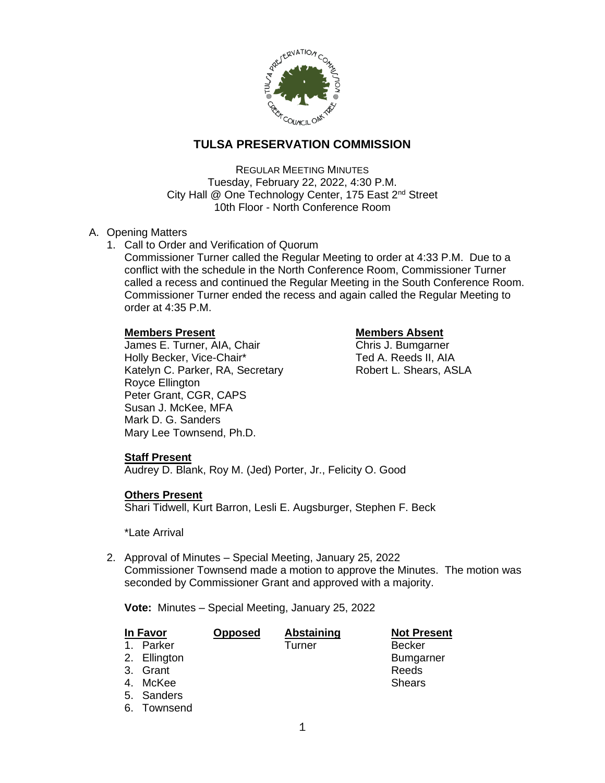

# **TULSA PRESERVATION COMMISSION**

REGULAR MEETING MINUTES Tuesday, February 22, 2022, 4:30 P.M. City Hall @ One Technology Center, 175 East 2<sup>nd</sup> Street 10th Floor - North Conference Room

## A. Opening Matters

- 1. Call to Order and Verification of Quorum
	- Commissioner Turner called the Regular Meeting to order at 4:33 P.M. Due to a conflict with the schedule in the North Conference Room, Commissioner Turner called a recess and continued the Regular Meeting in the South Conference Room. Commissioner Turner ended the recess and again called the Regular Meeting to order at 4:35 P.M.

### **Members Present Constraining Members Absent**

James E. Turner, AIA, Chair Chris J. Bumgarner Holly Becker, Vice-Chair\* Ted A. Reeds II, AIA Katelyn C. Parker, RA, Secretary Robert L. Shears, ASLA Royce Ellington Peter Grant, CGR, CAPS Susan J. McKee, MFA Mark D. G. Sanders Mary Lee Townsend, Ph.D.

# **Staff Present**

Audrey D. Blank, Roy M. (Jed) Porter, Jr., Felicity O. Good

### **Others Present**

Shari Tidwell, Kurt Barron, Lesli E. Augsburger, Stephen F. Beck

#### \*Late Arrival

2. Approval of Minutes – Special Meeting, January 25, 2022 Commissioner Townsend made a motion to approve the Minutes. The motion was seconded by Commissioner Grant and approved with a majority.

**Vote:** Minutes – Special Meeting, January 25, 2022

| In Favor    |              | <b>Opposed</b> | Abstaining | <b>Not Present</b> |
|-------------|--------------|----------------|------------|--------------------|
| $\mathbf 1$ | Parker       |                | Turner     | <b>Becker</b>      |
|             | 2. Ellington |                |            | <b>Bumgarner</b>   |
|             | 3. Grant     |                |            | Reeds              |
| 4.          | McKee        |                |            | <b>Shears</b>      |
|             | 5. Sanders   |                |            |                    |
|             | 6. Townsend  |                |            |                    |
|             |              |                |            |                    |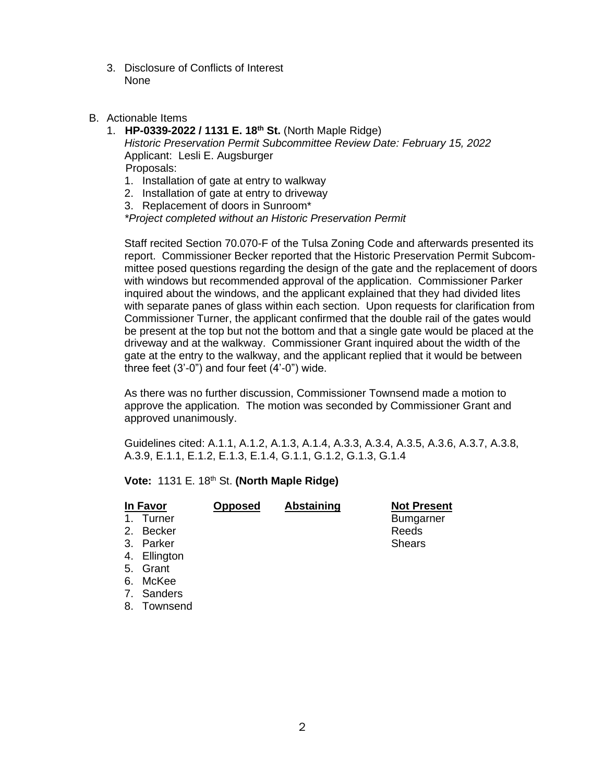- 3. Disclosure of Conflicts of Interest None
- B. Actionable Items
	- 1. **HP-0339-2022 / 1131 E. 18th St.** (North Maple Ridge) *Historic Preservation Permit Subcommittee Review Date: February 15, 2022* Applicant: Lesli E. Augsburger Proposals:
		- 1. Installation of gate at entry to walkway
		- 2. Installation of gate at entry to driveway
		- 3. Replacement of doors in Sunroom\*

*\*Project completed without an Historic Preservation Permit*

Staff recited Section 70.070-F of the Tulsa Zoning Code and afterwards presented its report. Commissioner Becker reported that the Historic Preservation Permit Subcommittee posed questions regarding the design of the gate and the replacement of doors with windows but recommended approval of the application. Commissioner Parker inquired about the windows, and the applicant explained that they had divided lites with separate panes of glass within each section. Upon requests for clarification from Commissioner Turner, the applicant confirmed that the double rail of the gates would be present at the top but not the bottom and that a single gate would be placed at the driveway and at the walkway. Commissioner Grant inquired about the width of the gate at the entry to the walkway, and the applicant replied that it would be between three feet (3'-0") and four feet (4'-0") wide.

As there was no further discussion, Commissioner Townsend made a motion to approve the application. The motion was seconded by Commissioner Grant and approved unanimously.

Guidelines cited: A.1.1, A.1.2, A.1.3, A.1.4, A.3.3, A.3.4, A.3.5, A.3.6, A.3.7, A.3.8, A.3.9, E.1.1, E.1.2, E.1.3, E.1.4, G.1.1, G.1.2, G.1.3, G.1.4

**Vote:** 1131 E. 18th St. **(North Maple Ridge)**

| In Favor      |              | <b>Opposed</b> | <b>Abstaining</b> | <b>Not Present</b> |
|---------------|--------------|----------------|-------------------|--------------------|
| $\mathbf 1$ . | Turner       |                |                   | <b>Bumgarner</b>   |
|               | 2. Becker    |                |                   | Reeds              |
|               | 3. Parker    |                |                   | <b>Shears</b>      |
|               | 4. Ellington |                |                   |                    |
|               | 5. Grant     |                |                   |                    |
|               | 6. McKee     |                |                   |                    |
|               | 7. Sanders   |                |                   |                    |
| 8.            | Townsend     |                |                   |                    |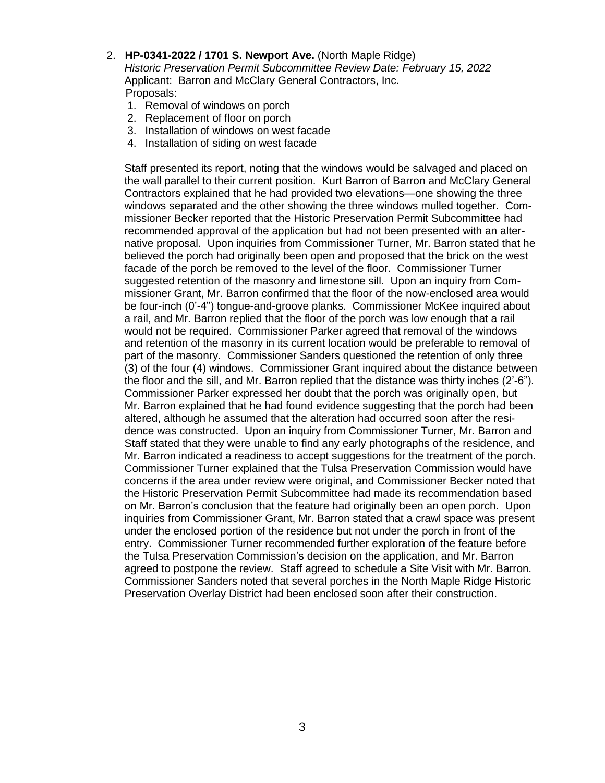2. **HP-0341-2022 / 1701 S. Newport Ave.** (North Maple Ridge)

*Historic Preservation Permit Subcommittee Review Date: February 15, 2022* Applicant: Barron and McClary General Contractors, Inc. Proposals:

- 1. Removal of windows on porch
- 2. Replacement of floor on porch
- 3. Installation of windows on west facade
- 4. Installation of siding on west facade

Staff presented its report, noting that the windows would be salvaged and placed on the wall parallel to their current position. Kurt Barron of Barron and McClary General Contractors explained that he had provided two elevations—one showing the three windows separated and the other showing the three windows mulled together. Commissioner Becker reported that the Historic Preservation Permit Subcommittee had recommended approval of the application but had not been presented with an alternative proposal. Upon inquiries from Commissioner Turner, Mr. Barron stated that he believed the porch had originally been open and proposed that the brick on the west facade of the porch be removed to the level of the floor. Commissioner Turner suggested retention of the masonry and limestone sill. Upon an inquiry from Commissioner Grant, Mr. Barron confirmed that the floor of the now-enclosed area would be four-inch (0'-4") tongue-and-groove planks. Commissioner McKee inquired about a rail, and Mr. Barron replied that the floor of the porch was low enough that a rail would not be required. Commissioner Parker agreed that removal of the windows and retention of the masonry in its current location would be preferable to removal of part of the masonry. Commissioner Sanders questioned the retention of only three (3) of the four (4) windows. Commissioner Grant inquired about the distance between the floor and the sill, and Mr. Barron replied that the distance was thirty inches (2'-6"). Commissioner Parker expressed her doubt that the porch was originally open, but Mr. Barron explained that he had found evidence suggesting that the porch had been altered, although he assumed that the alteration had occurred soon after the residence was constructed. Upon an inquiry from Commissioner Turner, Mr. Barron and Staff stated that they were unable to find any early photographs of the residence, and Mr. Barron indicated a readiness to accept suggestions for the treatment of the porch. Commissioner Turner explained that the Tulsa Preservation Commission would have concerns if the area under review were original, and Commissioner Becker noted that the Historic Preservation Permit Subcommittee had made its recommendation based on Mr. Barron's conclusion that the feature had originally been an open porch. Upon inquiries from Commissioner Grant, Mr. Barron stated that a crawl space was present under the enclosed portion of the residence but not under the porch in front of the entry. Commissioner Turner recommended further exploration of the feature before the Tulsa Preservation Commission's decision on the application, and Mr. Barron agreed to postpone the review. Staff agreed to schedule a Site Visit with Mr. Barron. Commissioner Sanders noted that several porches in the North Maple Ridge Historic Preservation Overlay District had been enclosed soon after their construction.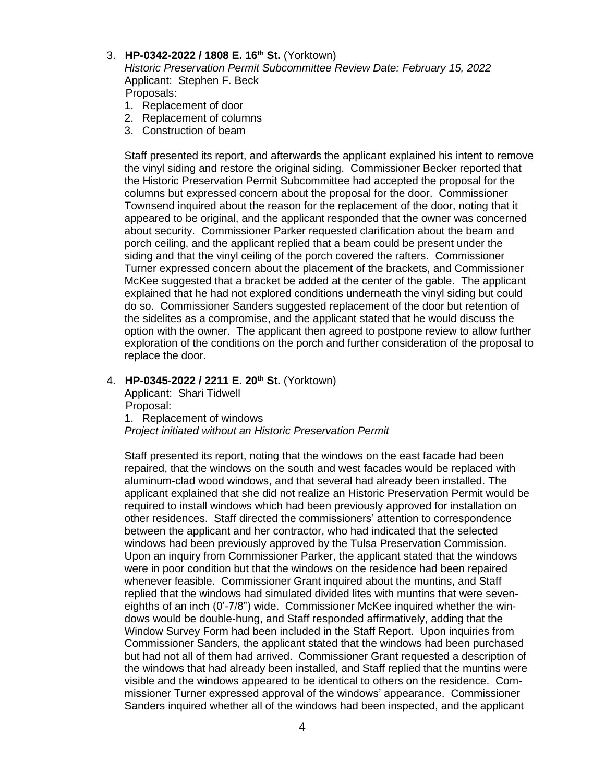#### 3. **HP-0342-2022 / 1808 E. 16th St.** (Yorktown)

*Historic Preservation Permit Subcommittee Review Date: February 15, 2022* Applicant: Stephen F. Beck Proposals:

- 1. Replacement of door
- 2. Replacement of columns
- 3. Construction of beam

Staff presented its report, and afterwards the applicant explained his intent to remove the vinyl siding and restore the original siding. Commissioner Becker reported that the Historic Preservation Permit Subcommittee had accepted the proposal for the columns but expressed concern about the proposal for the door. Commissioner Townsend inquired about the reason for the replacement of the door, noting that it appeared to be original, and the applicant responded that the owner was concerned about security. Commissioner Parker requested clarification about the beam and porch ceiling, and the applicant replied that a beam could be present under the siding and that the vinyl ceiling of the porch covered the rafters. Commissioner Turner expressed concern about the placement of the brackets, and Commissioner McKee suggested that a bracket be added at the center of the gable. The applicant explained that he had not explored conditions underneath the vinyl siding but could do so. Commissioner Sanders suggested replacement of the door but retention of the sidelites as a compromise, and the applicant stated that he would discuss the option with the owner. The applicant then agreed to postpone review to allow further exploration of the conditions on the porch and further consideration of the proposal to replace the door.

### 4. **HP-0345-2022 / 2211 E. 20th St.** (Yorktown)

Applicant: Shari Tidwell Proposal: 1. Replacement of windows

*Project initiated without an Historic Preservation Permit*

Staff presented its report, noting that the windows on the east facade had been repaired, that the windows on the south and west facades would be replaced with aluminum-clad wood windows, and that several had already been installed. The applicant explained that she did not realize an Historic Preservation Permit would be required to install windows which had been previously approved for installation on other residences. Staff directed the commissioners' attention to correspondence between the applicant and her contractor, who had indicated that the selected windows had been previously approved by the Tulsa Preservation Commission. Upon an inquiry from Commissioner Parker, the applicant stated that the windows were in poor condition but that the windows on the residence had been repaired whenever feasible. Commissioner Grant inquired about the muntins, and Staff replied that the windows had simulated divided lites with muntins that were seveneighths of an inch (0'-7/8") wide. Commissioner McKee inquired whether the windows would be double-hung, and Staff responded affirmatively, adding that the Window Survey Form had been included in the Staff Report. Upon inquiries from Commissioner Sanders, the applicant stated that the windows had been purchased but had not all of them had arrived. Commissioner Grant requested a description of the windows that had already been installed, and Staff replied that the muntins were visible and the windows appeared to be identical to others on the residence. Commissioner Turner expressed approval of the windows' appearance. Commissioner Sanders inquired whether all of the windows had been inspected, and the applicant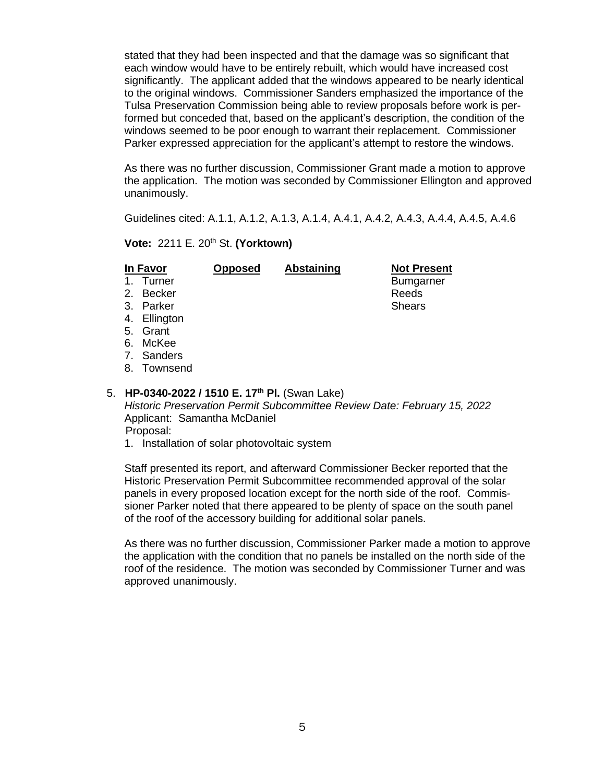stated that they had been inspected and that the damage was so significant that each window would have to be entirely rebuilt, which would have increased cost significantly. The applicant added that the windows appeared to be nearly identical to the original windows. Commissioner Sanders emphasized the importance of the Tulsa Preservation Commission being able to review proposals before work is performed but conceded that, based on the applicant's description, the condition of the windows seemed to be poor enough to warrant their replacement. Commissioner Parker expressed appreciation for the applicant's attempt to restore the windows.

As there was no further discussion, Commissioner Grant made a motion to approve the application. The motion was seconded by Commissioner Ellington and approved unanimously.

Guidelines cited: A.1.1, A.1.2, A.1.3, A.1.4, A.4.1, A.4.2, A.4.3, A.4.4, A.4.5, A.4.6

#### **Vote:** 2211 E. 20th St. **(Yorktown)**

| In Favor                                                                                                               |             | <b>Opposed</b> | Abstaining | <b>Not Present</b> |  |  |  |
|------------------------------------------------------------------------------------------------------------------------|-------------|----------------|------------|--------------------|--|--|--|
| 1.                                                                                                                     | Turner      |                |            | <b>Bumgarner</b>   |  |  |  |
|                                                                                                                        | 2. Becker   |                |            | Reeds              |  |  |  |
|                                                                                                                        | 3. Parker   |                |            | <b>Shears</b>      |  |  |  |
| 4.                                                                                                                     | Ellington   |                |            |                    |  |  |  |
|                                                                                                                        | 5. Grant    |                |            |                    |  |  |  |
| 6.                                                                                                                     | McKee       |                |            |                    |  |  |  |
|                                                                                                                        | 7. Sanders  |                |            |                    |  |  |  |
|                                                                                                                        | 8. Townsend |                |            |                    |  |  |  |
|                                                                                                                        |             |                |            |                    |  |  |  |
| $\mathbf{H} \mathbf{D}$ 0040 0000 $\mathbf{H}$ 450 $\mathbf{F}$ 45 <sup>th</sup> $\mathbf{D} \mathbf{L}$ (Current also |             |                |            |                    |  |  |  |

5. **HP-0340-2022 / 1510 E. 17th Pl.** (Swan Lake) *Historic Preservation Permit Subcommittee Review Date: February 15, 2022* Applicant: Samantha McDaniel Proposal:

1. Installation of solar photovoltaic system

Staff presented its report, and afterward Commissioner Becker reported that the Historic Preservation Permit Subcommittee recommended approval of the solar panels in every proposed location except for the north side of the roof. Commissioner Parker noted that there appeared to be plenty of space on the south panel of the roof of the accessory building for additional solar panels.

As there was no further discussion, Commissioner Parker made a motion to approve the application with the condition that no panels be installed on the north side of the roof of the residence. The motion was seconded by Commissioner Turner and was approved unanimously.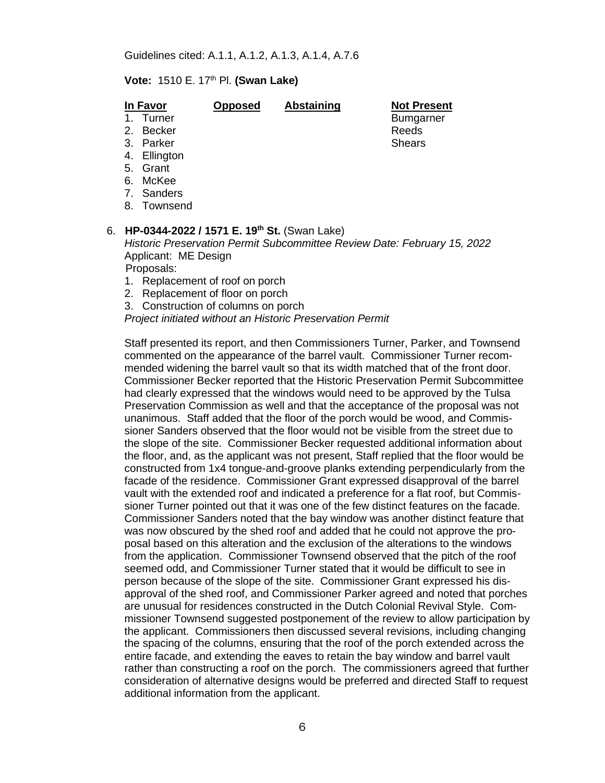#### **Vote:** 1510 E. 17th Pl. **(Swan Lake)**

#### **In Favor Opposed Abstaining Not Present**

- 2. Becker Reeds
- 3. Parker Shears Shears Shears Shears Shears Shears Shears Shears Shears Shears Shears Shears Shears Shears Shears Shears Shears Shears Shears Shears Shears Shears Shears Shears Shears Shears Shears Shears Shears Shears Sh
- 4. Ellington
- 5. Grant
- 6. McKee
- 7. Sanders
- 8. Townsend

#### 6. **HP-0344-2022 / 1571 E. 19th St.** (Swan Lake)

*Historic Preservation Permit Subcommittee Review Date: February 15, 2022* Applicant: ME Design

Proposals:

- 1. Replacement of roof on porch
- 2. Replacement of floor on porch
- 3. Construction of columns on porch

*Project initiated without an Historic Preservation Permit*

Staff presented its report, and then Commissioners Turner, Parker, and Townsend commented on the appearance of the barrel vault. Commissioner Turner recommended widening the barrel vault so that its width matched that of the front door. Commissioner Becker reported that the Historic Preservation Permit Subcommittee had clearly expressed that the windows would need to be approved by the Tulsa Preservation Commission as well and that the acceptance of the proposal was not unanimous. Staff added that the floor of the porch would be wood, and Commissioner Sanders observed that the floor would not be visible from the street due to the slope of the site. Commissioner Becker requested additional information about the floor, and, as the applicant was not present, Staff replied that the floor would be constructed from 1x4 tongue-and-groove planks extending perpendicularly from the facade of the residence. Commissioner Grant expressed disapproval of the barrel vault with the extended roof and indicated a preference for a flat roof, but Commissioner Turner pointed out that it was one of the few distinct features on the facade. Commissioner Sanders noted that the bay window was another distinct feature that was now obscured by the shed roof and added that he could not approve the proposal based on this alteration and the exclusion of the alterations to the windows from the application. Commissioner Townsend observed that the pitch of the roof seemed odd, and Commissioner Turner stated that it would be difficult to see in person because of the slope of the site. Commissioner Grant expressed his disapproval of the shed roof, and Commissioner Parker agreed and noted that porches are unusual for residences constructed in the Dutch Colonial Revival Style. Commissioner Townsend suggested postponement of the review to allow participation by the applicant. Commissioners then discussed several revisions, including changing the spacing of the columns, ensuring that the roof of the porch extended across the entire facade, and extending the eaves to retain the bay window and barrel vault rather than constructing a roof on the porch. The commissioners agreed that further consideration of alternative designs would be preferred and directed Staff to request additional information from the applicant.

1. Turner **Bumgarner** Bumgarner